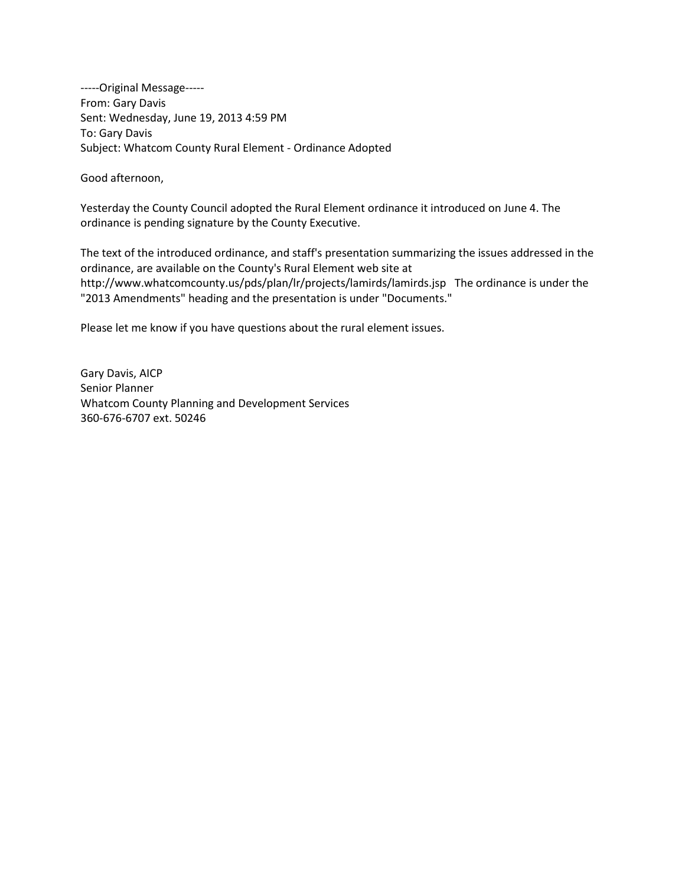-----Original Message----- From: Gary Davis Sent: Wednesday, June 19, 2013 4:59 PM To: Gary Davis Subject: Whatcom County Rural Element - Ordinance Adopted

Good afternoon,

Yesterday the County Council adopted the Rural Element ordinance it introduced on June 4. The ordinance is pending signature by the County Executive.

The text of the introduced ordinance, and staff's presentation summarizing the issues addressed in the ordinance, are available on the County's Rural Element web site at <http://www.whatcomcounty.us/pds/plan/lr/projects/lamirds/lamirds.jsp>The ordinance is under the "2013 Amendments" heading and the presentation is under "Documents."

Please let me know if you have questions about the rural element issues.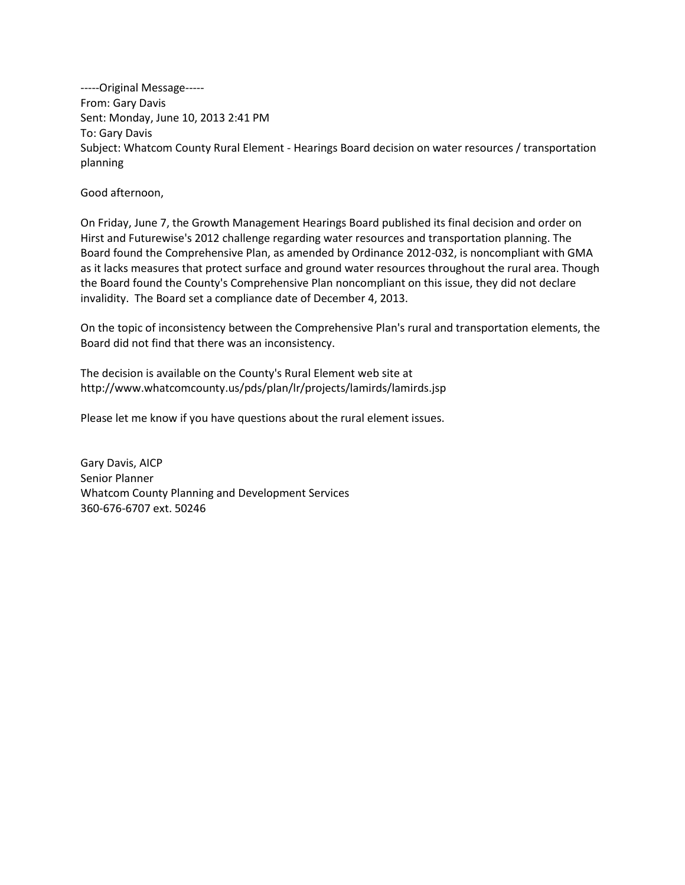-----Original Message----- From: Gary Davis Sent: Monday, June 10, 2013 2:41 PM To: Gary Davis Subject: Whatcom County Rural Element - Hearings Board decision on water resources / transportation planning

Good afternoon,

On Friday, June 7, the Growth Management Hearings Board published its final decision and order on Hirst and Futurewise's 2012 challenge regarding water resources and transportation planning. The Board found the Comprehensive Plan, as amended by Ordinance 2012-032, is noncompliant with GMA as it lacks measures that protect surface and ground water resources throughout the rural area. Though the Board found the County's Comprehensive Plan noncompliant on this issue, they did not declare invalidity. The Board set a compliance date of December 4, 2013.

On the topic of inconsistency between the Comprehensive Plan's rural and transportation elements, the Board did not find that there was an inconsistency.

The decision is available on the County's Rural Element web site at <http://www.whatcomcounty.us/pds/plan/lr/projects/lamirds/lamirds.jsp>

Please let me know if you have questions about the rural element issues.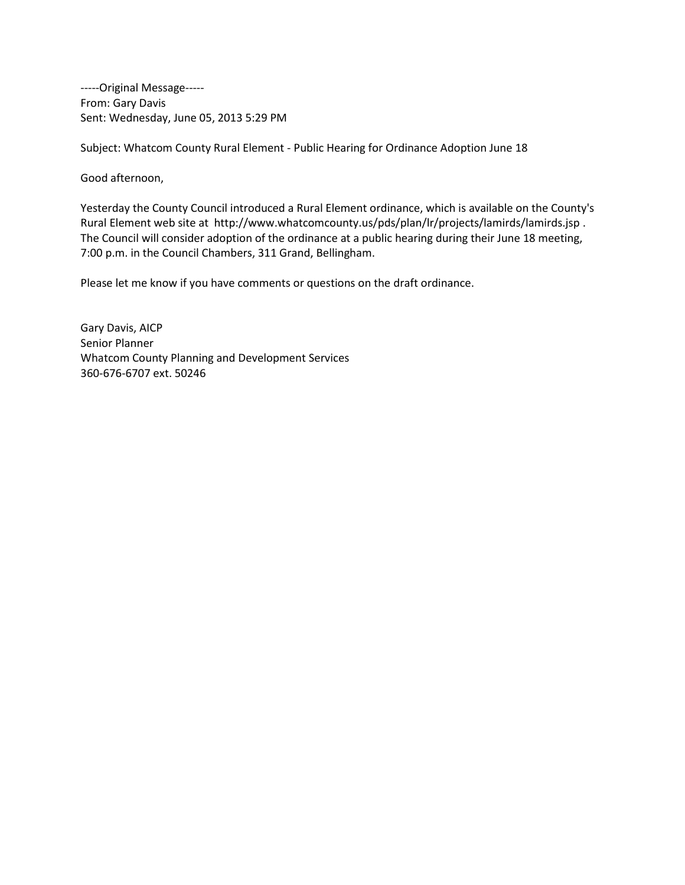-----Original Message----- From: Gary Davis Sent: Wednesday, June 05, 2013 5:29 PM

Subject: Whatcom County Rural Element - Public Hearing for Ordinance Adoption June 18

Good afternoon,

Yesterday the County Council introduced a Rural Element ordinance, which is available on the County's Rural Element web site at<http://www.whatcomcounty.us/pds/plan/lr/projects/lamirds/lamirds.jsp> . The Council will consider adoption of the ordinance at a public hearing during their June 18 meeting, 7:00 p.m. in the Council Chambers, 311 Grand, Bellingham.

Please let me know if you have comments or questions on the draft ordinance.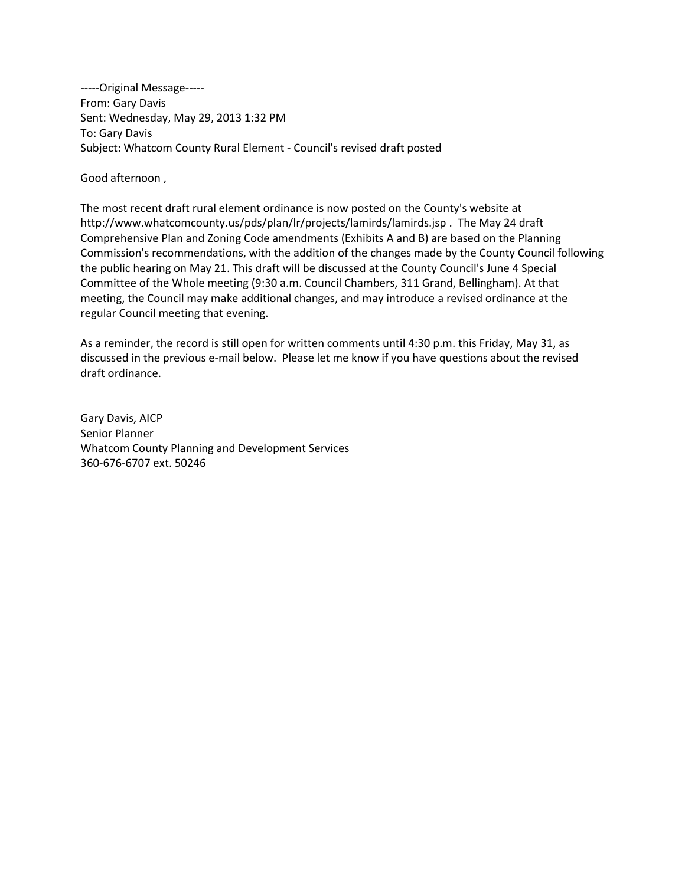-----Original Message----- From: Gary Davis Sent: Wednesday, May 29, 2013 1:32 PM To: Gary Davis Subject: Whatcom County Rural Element - Council's revised draft posted

Good afternoon ,

The most recent draft rural element ordinance is now posted on the County's website at <http://www.whatcomcounty.us/pds/plan/lr/projects/lamirds/lamirds.jsp> . The May 24 draft Comprehensive Plan and Zoning Code amendments (Exhibits A and B) are based on the Planning Commission's recommendations, with the addition of the changes made by the County Council following the public hearing on May 21. This draft will be discussed at the County Council's June 4 Special Committee of the Whole meeting (9:30 a.m. Council Chambers, 311 Grand, Bellingham). At that meeting, the Council may make additional changes, and may introduce a revised ordinance at the regular Council meeting that evening.

As a reminder, the record is still open for written comments until 4:30 p.m. this Friday, May 31, as discussed in the previous e-mail below. Please let me know if you have questions about the revised draft ordinance.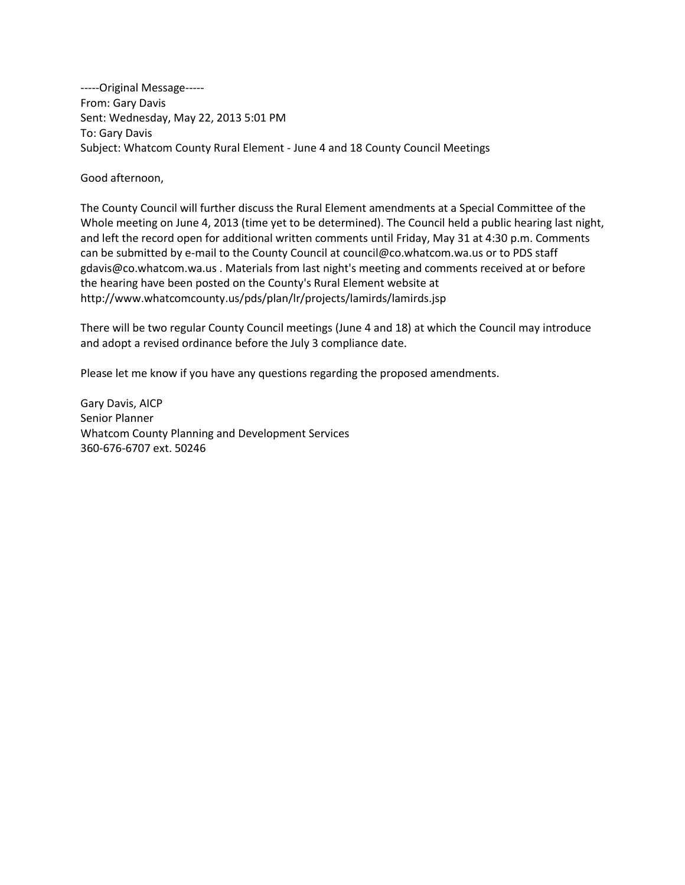-----Original Message----- From: Gary Davis Sent: Wednesday, May 22, 2013 5:01 PM To: Gary Davis Subject: Whatcom County Rural Element - June 4 and 18 County Council Meetings

Good afternoon,

The County Council will further discuss the Rural Element amendments at a Special Committee of the Whole meeting on June 4, 2013 (time yet to be determined). The Council held a public hearing last night, and left the record open for additional written comments until Friday, May 31 at 4:30 p.m. Comments can be submitted by e-mail to the County Council a[t council@co.whatcom.wa.us](mailto:council@co.whatcom.wa.us) or to PDS staff [gdavis@co.whatcom.wa.us](mailto:gdavis@co.whatcom.wa.us) . Materials from last night's meeting and comments received at or before the hearing have been posted on the County's Rural Element website at <http://www.whatcomcounty.us/pds/plan/lr/projects/lamirds/lamirds.jsp>

There will be two regular County Council meetings (June 4 and 18) at which the Council may introduce and adopt a revised ordinance before the July 3 compliance date.

Please let me know if you have any questions regarding the proposed amendments.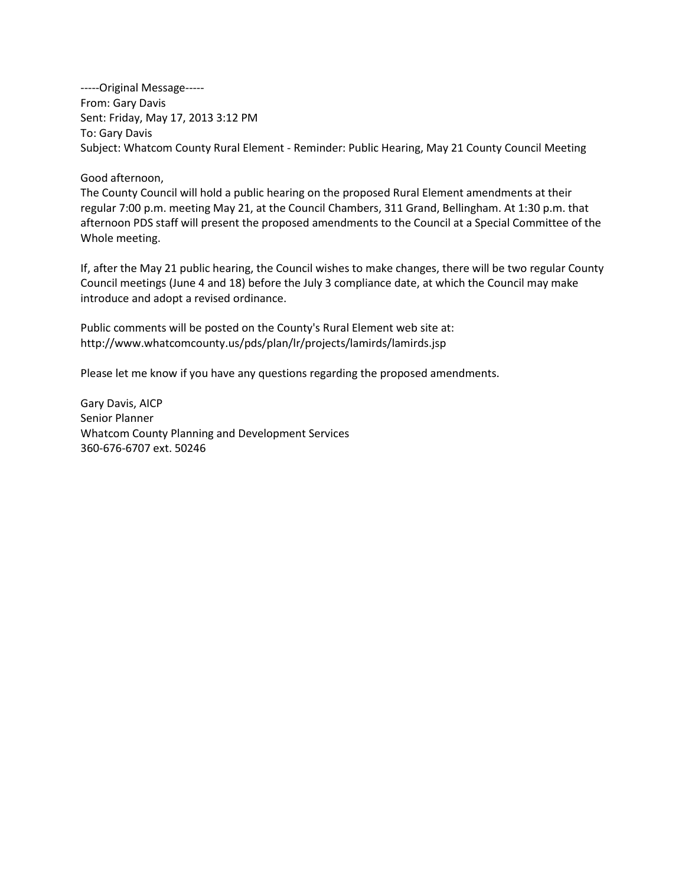-----Original Message----- From: Gary Davis Sent: Friday, May 17, 2013 3:12 PM To: Gary Davis Subject: Whatcom County Rural Element - Reminder: Public Hearing, May 21 County Council Meeting

Good afternoon,

The County Council will hold a public hearing on the proposed Rural Element amendments at their regular 7:00 p.m. meeting May 21, at the Council Chambers, 311 Grand, Bellingham. At 1:30 p.m. that afternoon PDS staff will present the proposed amendments to the Council at a Special Committee of the Whole meeting.

If, after the May 21 public hearing, the Council wishes to make changes, there will be two regular County Council meetings (June 4 and 18) before the July 3 compliance date, at which the Council may make introduce and adopt a revised ordinance.

Public comments will be posted on the County's Rural Element web site at: <http://www.whatcomcounty.us/pds/plan/lr/projects/lamirds/lamirds.jsp>

Please let me know if you have any questions regarding the proposed amendments.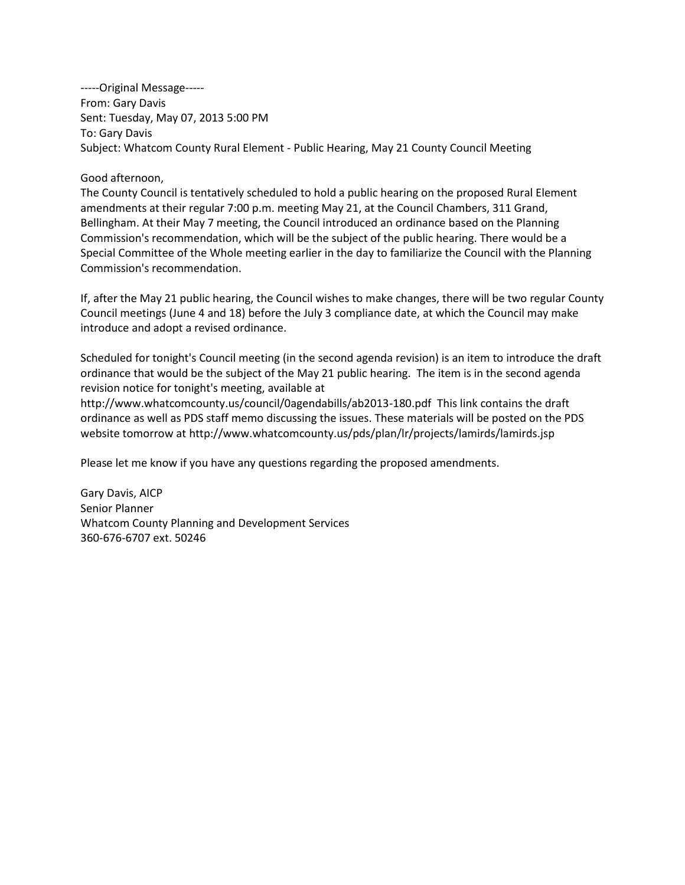-----Original Message----- From: Gary Davis Sent: Tuesday, May 07, 2013 5:00 PM To: Gary Davis Subject: Whatcom County Rural Element - Public Hearing, May 21 County Council Meeting

## Good afternoon,

The County Council is tentatively scheduled to hold a public hearing on the proposed Rural Element amendments at their regular 7:00 p.m. meeting May 21, at the Council Chambers, 311 Grand, Bellingham. At their May 7 meeting, the Council introduced an ordinance based on the Planning Commission's recommendation, which will be the subject of the public hearing. There would be a Special Committee of the Whole meeting earlier in the day to familiarize the Council with the Planning Commission's recommendation.

If, after the May 21 public hearing, the Council wishes to make changes, there will be two regular County Council meetings (June 4 and 18) before the July 3 compliance date, at which the Council may make introduce and adopt a revised ordinance.

Scheduled for tonight's Council meeting (in the second agenda revision) is an item to introduce the draft ordinance that would be the subject of the May 21 public hearing. The item is in the second agenda revision notice for tonight's meeting, available at

<http://www.whatcomcounty.us/council/0agendabills/ab2013-180.pdf>This link contains the draft ordinance as well as PDS staff memo discussing the issues. These materials will be posted on the PDS website tomorrow at<http://www.whatcomcounty.us/pds/plan/lr/projects/lamirds/lamirds.jsp>

Please let me know if you have any questions regarding the proposed amendments.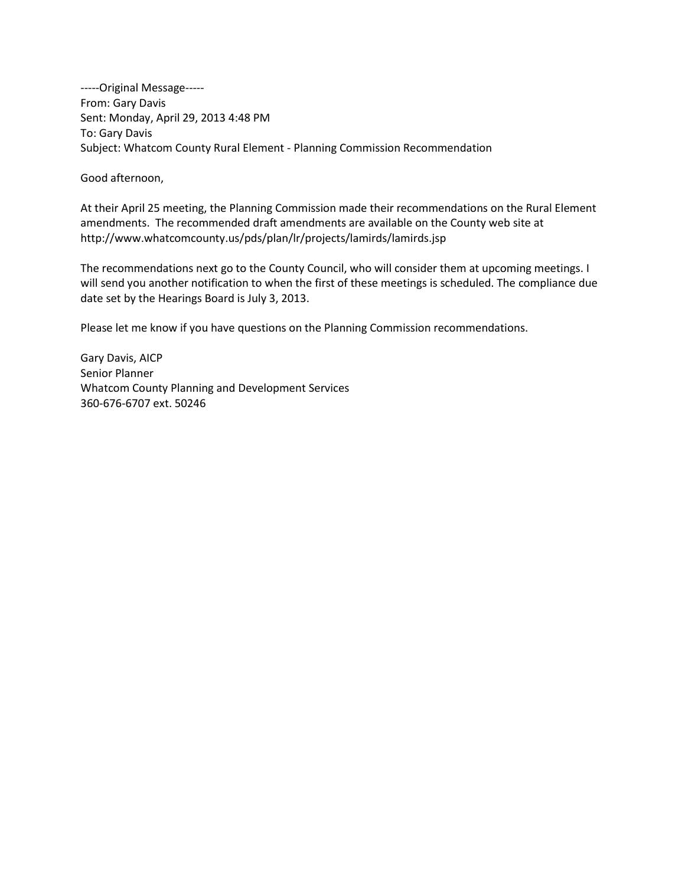-----Original Message----- From: Gary Davis Sent: Monday, April 29, 2013 4:48 PM To: Gary Davis Subject: Whatcom County Rural Element - Planning Commission Recommendation

Good afternoon,

At their April 25 meeting, the Planning Commission made their recommendations on the Rural Element amendments. The recommended draft amendments are available on the County web site at <http://www.whatcomcounty.us/pds/plan/lr/projects/lamirds/lamirds.jsp>

The recommendations next go to the County Council, who will consider them at upcoming meetings. I will send you another notification to when the first of these meetings is scheduled. The compliance due date set by the Hearings Board is July 3, 2013.

Please let me know if you have questions on the Planning Commission recommendations.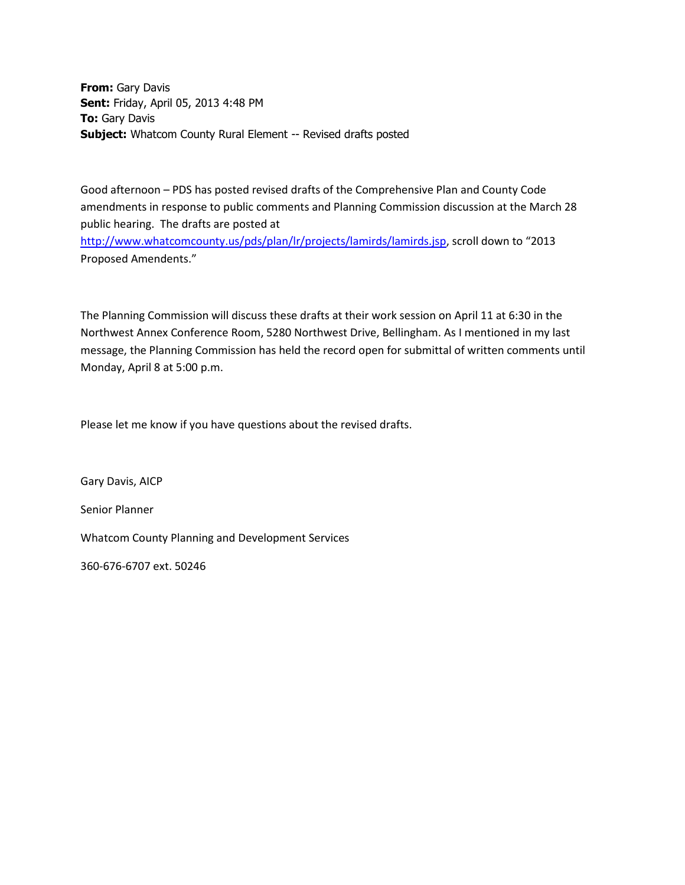**From:** Gary Davis **Sent:** Friday, April 05, 2013 4:48 PM **To:** Gary Davis **Subject:** Whatcom County Rural Element -- Revised drafts posted

Good afternoon – PDS has posted revised drafts of the Comprehensive Plan and County Code amendments in response to public comments and Planning Commission discussion at the March 28 public hearing. The drafts are posted at <http://www.whatcomcounty.us/pds/plan/lr/projects/lamirds/lamirds.jsp>, scroll down to "2013 Proposed Amendents."

The Planning Commission will discuss these drafts at their work session on April 11 at 6:30 in the Northwest Annex Conference Room, 5280 Northwest Drive, Bellingham. As I mentioned in my last message, the Planning Commission has held the record open for submittal of written comments until Monday, April 8 at 5:00 p.m.

Please let me know if you have questions about the revised drafts.

Gary Davis, AICP Senior Planner Whatcom County Planning and Development Services

360-676-6707 ext. 50246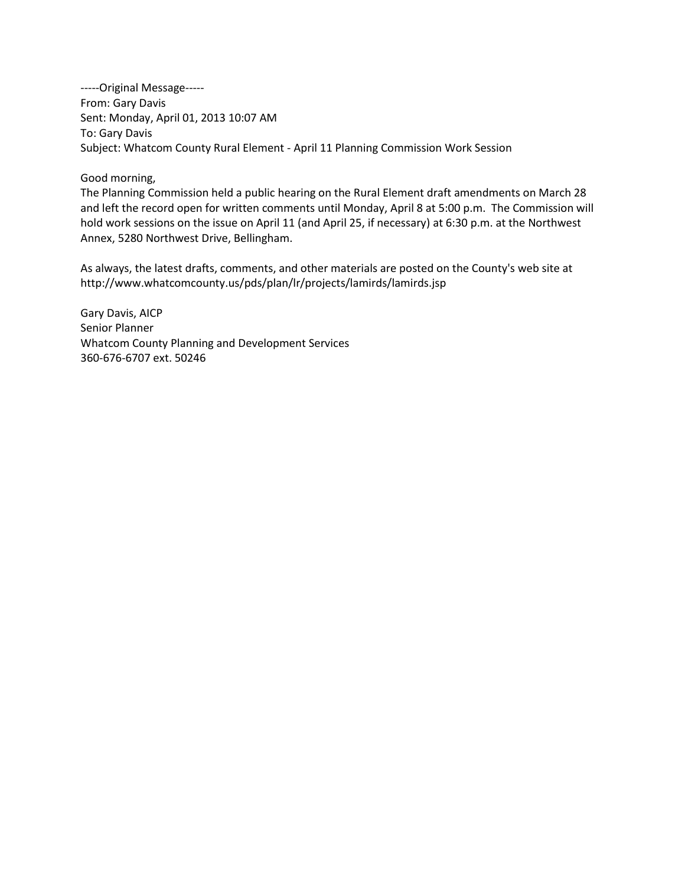-----Original Message----- From: Gary Davis Sent: Monday, April 01, 2013 10:07 AM To: Gary Davis Subject: Whatcom County Rural Element - April 11 Planning Commission Work Session

Good morning,

The Planning Commission held a public hearing on the Rural Element draft amendments on March 28 and left the record open for written comments until Monday, April 8 at 5:00 p.m. The Commission will hold work sessions on the issue on April 11 (and April 25, if necessary) at 6:30 p.m. at the Northwest Annex, 5280 Northwest Drive, Bellingham.

As always, the latest drafts, comments, and other materials are posted on the County's web site at <http://www.whatcomcounty.us/pds/plan/lr/projects/lamirds/lamirds.jsp>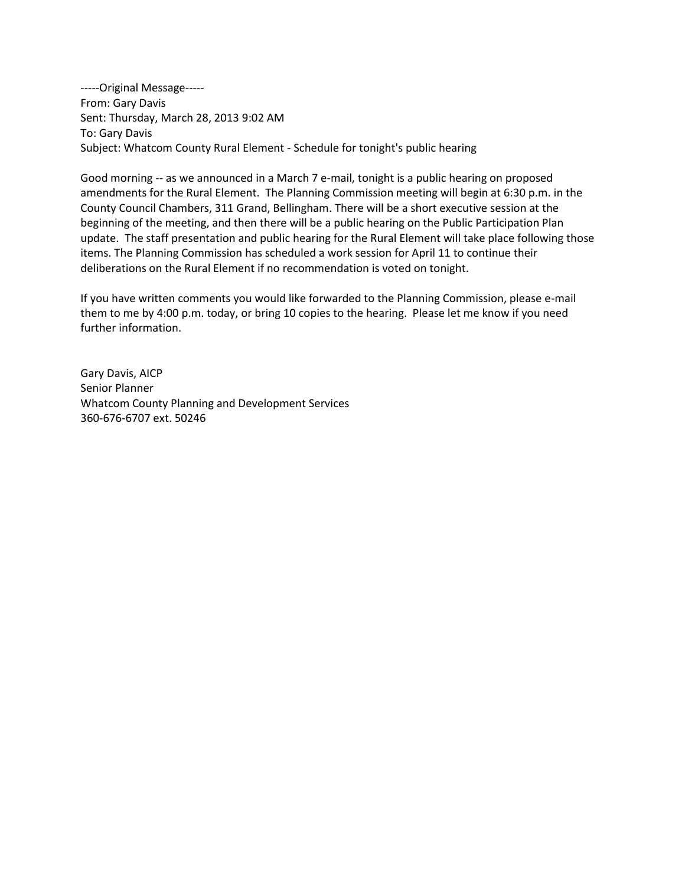-----Original Message----- From: Gary Davis Sent: Thursday, March 28, 2013 9:02 AM To: Gary Davis Subject: Whatcom County Rural Element - Schedule for tonight's public hearing

Good morning -- as we announced in a March 7 e-mail, tonight is a public hearing on proposed amendments for the Rural Element. The Planning Commission meeting will begin at 6:30 p.m. in the County Council Chambers, 311 Grand, Bellingham. There will be a short executive session at the beginning of the meeting, and then there will be a public hearing on the Public Participation Plan update. The staff presentation and public hearing for the Rural Element will take place following those items. The Planning Commission has scheduled a work session for April 11 to continue their deliberations on the Rural Element if no recommendation is voted on tonight.

If you have written comments you would like forwarded to the Planning Commission, please e-mail them to me by 4:00 p.m. today, or bring 10 copies to the hearing. Please let me know if you need further information.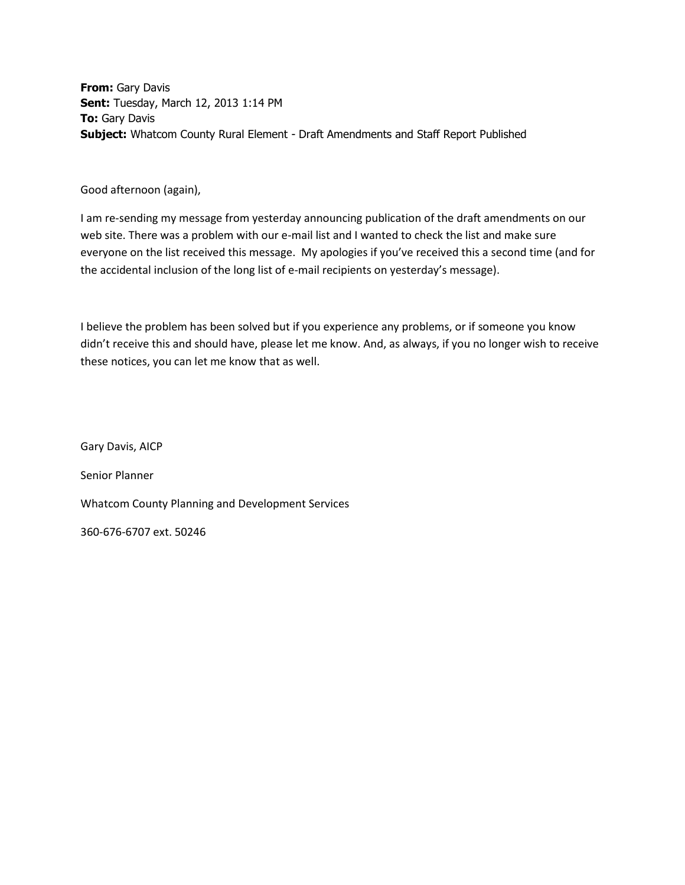**From:** Gary Davis **Sent:** Tuesday, March 12, 2013 1:14 PM **To:** Gary Davis **Subject:** Whatcom County Rural Element - Draft Amendments and Staff Report Published

Good afternoon (again),

I am re-sending my message from yesterday announcing publication of the draft amendments on our web site. There was a problem with our e-mail list and I wanted to check the list and make sure everyone on the list received this message. My apologies if you've received this a second time (and for the accidental inclusion of the long list of e-mail recipients on yesterday's message).

I believe the problem has been solved but if you experience any problems, or if someone you know didn't receive this and should have, please let me know. And, as always, if you no longer wish to receive these notices, you can let me know that as well.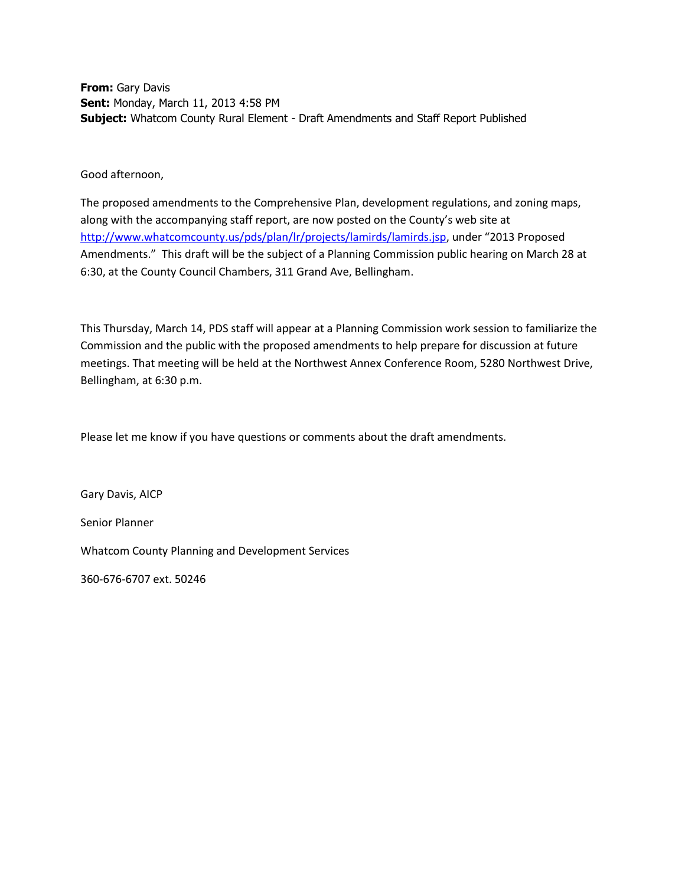**From:** Gary Davis **Sent:** Monday, March 11, 2013 4:58 PM **Subject:** Whatcom County Rural Element - Draft Amendments and Staff Report Published

Good afternoon,

The proposed amendments to the Comprehensive Plan, development regulations, and zoning maps, along with the accompanying staff report, are now posted on the County's web site at <http://www.whatcomcounty.us/pds/plan/lr/projects/lamirds/lamirds.jsp>, under "2013 Proposed Amendments." This draft will be the subject of a Planning Commission public hearing on March 28 at 6:30, at the County Council Chambers, 311 Grand Ave, Bellingham.

This Thursday, March 14, PDS staff will appear at a Planning Commission work session to familiarize the Commission and the public with the proposed amendments to help prepare for discussion at future meetings. That meeting will be held at the Northwest Annex Conference Room, 5280 Northwest Drive, Bellingham, at 6:30 p.m.

Please let me know if you have questions or comments about the draft amendments.

Gary Davis, AICP Senior Planner Whatcom County Planning and Development Services

360-676-6707 ext. 50246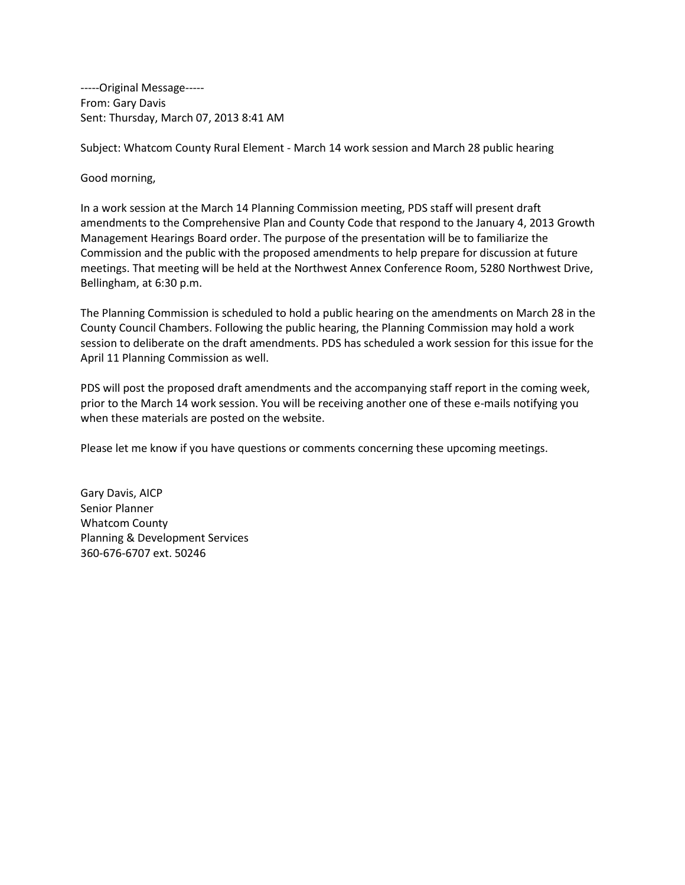-----Original Message----- From: Gary Davis Sent: Thursday, March 07, 2013 8:41 AM

Subject: Whatcom County Rural Element - March 14 work session and March 28 public hearing

Good morning,

In a work session at the March 14 Planning Commission meeting, PDS staff will present draft amendments to the Comprehensive Plan and County Code that respond to the January 4, 2013 Growth Management Hearings Board order. The purpose of the presentation will be to familiarize the Commission and the public with the proposed amendments to help prepare for discussion at future meetings. That meeting will be held at the Northwest Annex Conference Room, 5280 Northwest Drive, Bellingham, at 6:30 p.m.

The Planning Commission is scheduled to hold a public hearing on the amendments on March 28 in the County Council Chambers. Following the public hearing, the Planning Commission may hold a work session to deliberate on the draft amendments. PDS has scheduled a work session for this issue for the April 11 Planning Commission as well.

PDS will post the proposed draft amendments and the accompanying staff report in the coming week, prior to the March 14 work session. You will be receiving another one of these e-mails notifying you when these materials are posted on the website.

Please let me know if you have questions or comments concerning these upcoming meetings.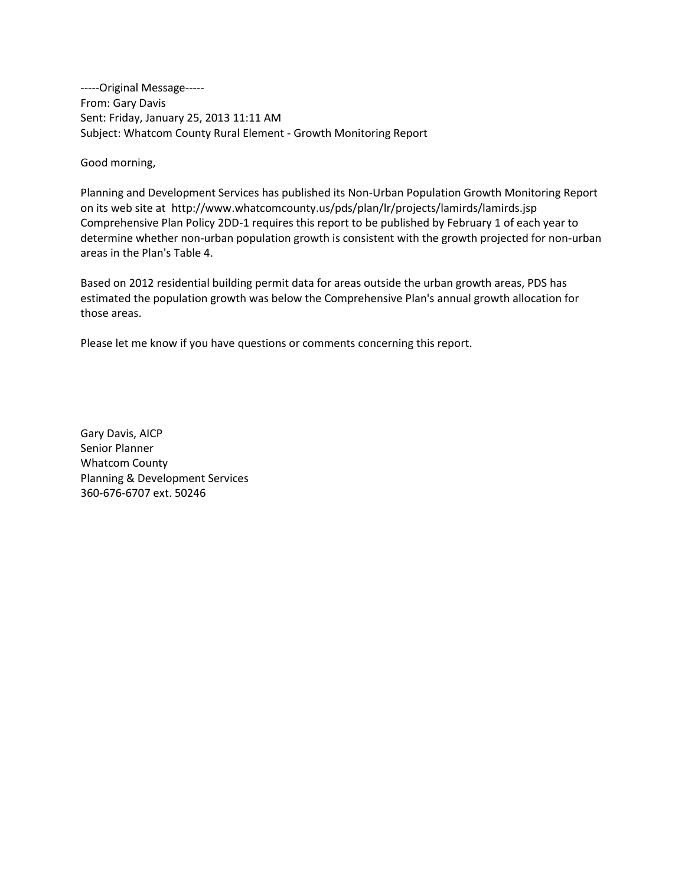-----Original Message----- From: Gary Davis Sent: Friday, January 25, 2013 11:11 AM Subject: Whatcom County Rural Element - Growth Monitoring Report

Good morning,

Planning and Development Services has published its Non-Urban Population Growth Monitoring Report on its web site at <http://www.whatcomcounty.us/pds/plan/lr/projects/lamirds/lamirds.jsp> Comprehensive Plan Policy 2DD-1 requires this report to be published by February 1 of each year to determine whether non-urban population growth is consistent with the growth projected for non-urban areas in the Plan's Table 4.

Based on 2012 residential building permit data for areas outside the urban growth areas, PDS has estimated the population growth was below the Comprehensive Plan's annual growth allocation for those areas.

Please let me know if you have questions or comments concerning this report.